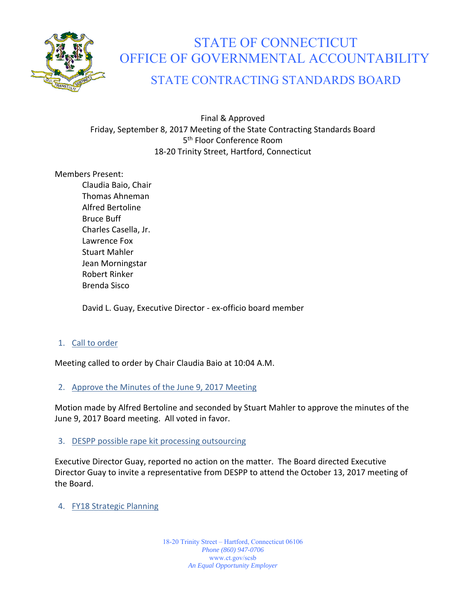

## STATE OF CONNECTICUT OFFICE OF GOVERNMENTAL ACCOUNTABILITY

## STATE CONTRACTING STANDARDS BOARD

Final & Approved Friday, September 8, 2017 Meeting of the State Contracting Standards Board 5<sup>th</sup> Floor Conference Room 18‐20 Trinity Street, Hartford, Connecticut

#### Members Present:

Claudia Baio, Chair Thomas Ahneman Alfred Bertoline Bruce Buff Charles Casella, Jr. Lawrence Fox Stuart Mahler Jean Morningstar Robert Rinker Brenda Sisco

David L. Guay, Executive Director ‐ ex‐officio board member

#### 1. Call to order

Meeting called to order by Chair Claudia Baio at 10:04 A.M.

#### 2. Approve the Minutes of the June 9, 2017 Meeting

Motion made by Alfred Bertoline and seconded by Stuart Mahler to approve the minutes of the June 9, 2017 Board meeting. All voted in favor.

#### 3. DESPP possible rape kit processing outsourcing

Executive Director Guay, reported no action on the matter. The Board directed Executive Director Guay to invite a representative from DESPP to attend the October 13, 2017 meeting of the Board.

#### 4. FY18 Strategic Planning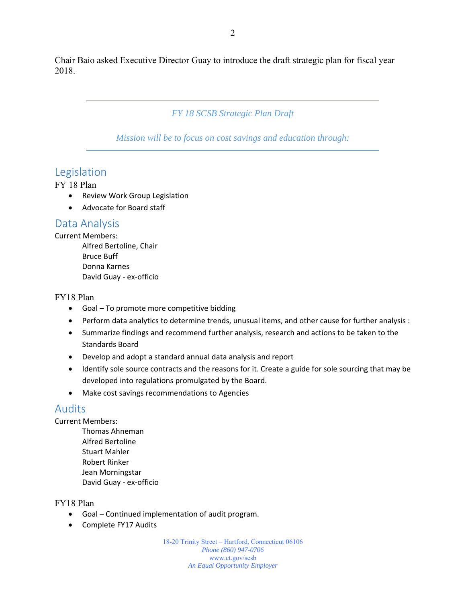Chair Baio asked Executive Director Guay to introduce the draft strategic plan for fiscal year 2018.

#### *FY 18 SCSB Strategic Plan Draft*

*Mission will be to focus on cost savings and education through:* 

## Legislation

FY 18 Plan

- Review Work Group Legislation
- Advocate for Board staff

### Data Analysis

#### Current Members:

Alfred Bertoline, Chair Bruce Buff Donna Karnes David Guay ‐ ex‐officio

#### FY18 Plan

- Goal To promote more competitive bidding
- Perform data analytics to determine trends, unusual items, and other cause for further analysis :
- Summarize findings and recommend further analysis, research and actions to be taken to the Standards Board
- Develop and adopt a standard annual data analysis and report
- Identify sole source contracts and the reasons for it. Create a guide for sole sourcing that may be developed into regulations promulgated by the Board.
- Make cost savings recommendations to Agencies

## Audits

Current Members:

Thomas Ahneman Alfred Bertoline Stuart Mahler Robert Rinker Jean Morningstar David Guay ‐ ex‐officio

#### FY18 Plan

- Goal Continued implementation of audit program.
- Complete FY17 Audits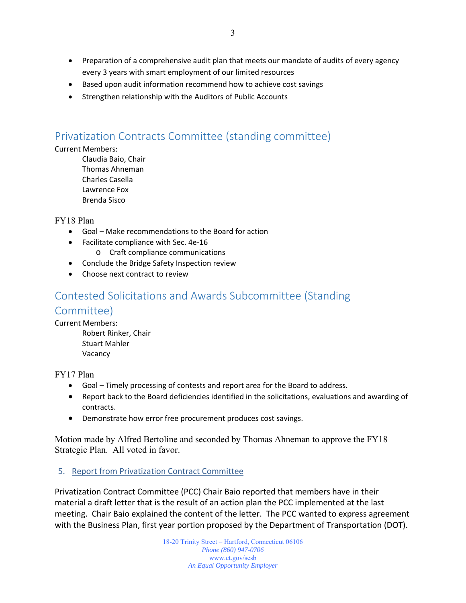- Preparation of a comprehensive audit plan that meets our mandate of audits of every agency every 3 years with smart employment of our limited resources
- Based upon audit information recommend how to achieve cost savings
- Strengthen relationship with the Auditors of Public Accounts

## Privatization Contracts Committee (standing committee)

#### Current Members:

Claudia Baio, Chair Thomas Ahneman Charles Casella Lawrence Fox Brenda Sisco

FY18 Plan

- Goal Make recommendations to the Board for action
- Facilitate compliance with Sec. 4e-16
	- o Craft compliance communications
- Conclude the Bridge Safety Inspection review
- Choose next contract to review

# Contested Solicitations and Awards Subcommittee (Standing

## Committee)

Current Members:

Robert Rinker, Chair Stuart Mahler Vacancy

FY17 Plan

- Goal Timely processing of contests and report area for the Board to address.
- Report back to the Board deficiencies identified in the solicitations, evaluations and awarding of contracts.
- Demonstrate how error free procurement produces cost savings.

Motion made by Alfred Bertoline and seconded by Thomas Ahneman to approve the FY18 Strategic Plan. All voted in favor.

#### 5. Report from Privatization Contract Committee

Privatization Contract Committee (PCC) Chair Baio reported that members have in their material a draft letter that is the result of an action plan the PCC implemented at the last meeting. Chair Baio explained the content of the letter. The PCC wanted to express agreement with the Business Plan, first year portion proposed by the Department of Transportation (DOT).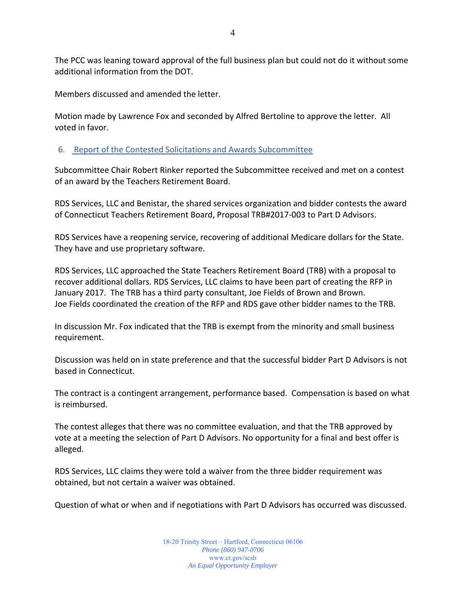The PCC was leaning toward approval of the full business plan but could not do it without some additional information from the DOT.

Members discussed and amended the letter.

Motion made by Lawrence Fox and seconded by Alfred Bertoline to approve the letter. All voted in favor.

#### 6. Report of the Contested Solicitations and Awards Subcommittee

Subcommittee Chair Robert Rinker reported the Subcommittee received and met on a contest of an award by the Teachers Retirement Board.

RDS Services, LLC and Benistar, the shared services organization and bidder contests the award of Connecticut Teachers Retirement Board, Proposal TRB#2017‐003 to Part D Advisors.

RDS Services have a reopening service, recovering of additional Medicare dollars for the State. They have and use proprietary software.

RDS Services, LLC approached the State Teachers Retirement Board (TRB) with a proposal to recover additional dollars. RDS Services, LLC claims to have been part of creating the RFP in January 2017. The TRB has a third party consultant, Joe Fields of Brown and Brown. Joe Fields coordinated the creation of the RFP and RDS gave other bidder names to the TRB.

In discussion Mr. Fox indicated that the TRB is exempt from the minority and small business requirement.

Discussion was held on in state preference and that the successful bidder Part D Advisors is not based in Connecticut.

The contract is a contingent arrangement, performance based. Compensation is based on what is reimbursed.

The contest alleges that there was no committee evaluation, and that the TRB approved by vote at a meeting the selection of Part D Advisors. No opportunity for a final and best offer is alleged.

RDS Services, LLC claims they were told a waiver from the three bidder requirement was obtained, but not certain a waiver was obtained.

Question of what or when and if negotiations with Part D Advisors has occurred was discussed.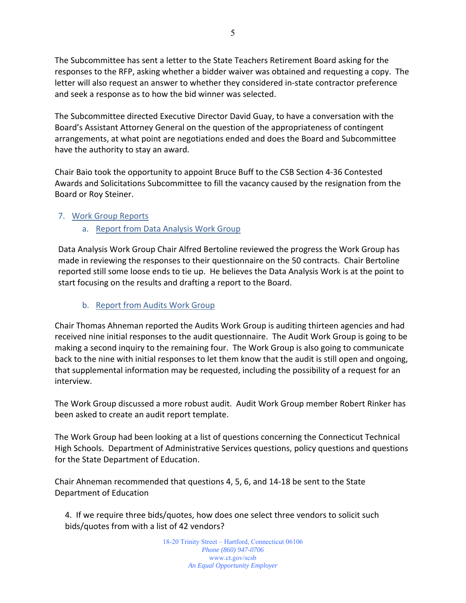The Subcommittee has sent a letter to the State Teachers Retirement Board asking for the responses to the RFP, asking whether a bidder waiver was obtained and requesting a copy. The letter will also request an answer to whether they considered in‐state contractor preference and seek a response as to how the bid winner was selected.

The Subcommittee directed Executive Director David Guay, to have a conversation with the Board's Assistant Attorney General on the question of the appropriateness of contingent arrangements, at what point are negotiations ended and does the Board and Subcommittee have the authority to stay an award.

Chair Baio took the opportunity to appoint Bruce Buff to the CSB Section 4‐36 Contested Awards and Solicitations Subcommittee to fill the vacancy caused by the resignation from the Board or Roy Steiner.

#### 7. Work Group Reports

a. Report from Data Analysis Work Group

Data Analysis Work Group Chair Alfred Bertoline reviewed the progress the Work Group has made in reviewing the responses to their questionnaire on the 50 contracts. Chair Bertoline reported still some loose ends to tie up. He believes the Data Analysis Work is at the point to start focusing on the results and drafting a report to the Board.

#### b. Report from Audits Work Group

Chair Thomas Ahneman reported the Audits Work Group is auditing thirteen agencies and had received nine initial responses to the audit questionnaire. The Audit Work Group is going to be making a second inquiry to the remaining four. The Work Group is also going to communicate back to the nine with initial responses to let them know that the audit is still open and ongoing, that supplemental information may be requested, including the possibility of a request for an interview.

The Work Group discussed a more robust audit. Audit Work Group member Robert Rinker has been asked to create an audit report template.

The Work Group had been looking at a list of questions concerning the Connecticut Technical High Schools. Department of Administrative Services questions, policy questions and questions for the State Department of Education.

Chair Ahneman recommended that questions 4, 5, 6, and 14‐18 be sent to the State Department of Education

4. If we require three bids/quotes, how does one select three vendors to solicit such bids/quotes from with a list of 42 vendors?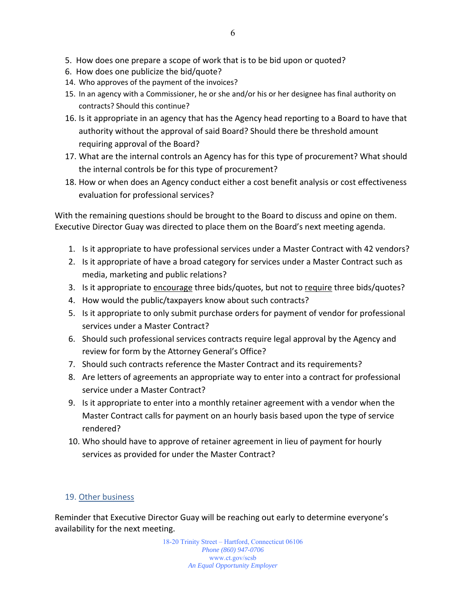- 5. How does one prepare a scope of work that is to be bid upon or quoted?
- 6. How does one publicize the bid/quote?
- 14. Who approves of the payment of the invoices?
- 15. In an agency with a Commissioner, he or she and/or his or her designee has final authority on contracts? Should this continue?
- 16. Is it appropriate in an agency that has the Agency head reporting to a Board to have that authority without the approval of said Board? Should there be threshold amount requiring approval of the Board?
- 17. What are the internal controls an Agency has for this type of procurement? What should the internal controls be for this type of procurement?
- 18. How or when does an Agency conduct either a cost benefit analysis or cost effectiveness evaluation for professional services?

With the remaining questions should be brought to the Board to discuss and opine on them. Executive Director Guay was directed to place them on the Board's next meeting agenda.

- 1. Is it appropriate to have professional services under a Master Contract with 42 vendors?
- 2. Is it appropriate of have a broad category for services under a Master Contract such as media, marketing and public relations?
- 3. Is it appropriate to **encourage** three bids/quotes, but not to require three bids/quotes?
- 4. How would the public/taxpayers know about such contracts?
- 5. Is it appropriate to only submit purchase orders for payment of vendor for professional services under a Master Contract?
- 6. Should such professional services contracts require legal approval by the Agency and review for form by the Attorney General's Office?
- 7. Should such contracts reference the Master Contract and its requirements?
- 8. Are letters of agreements an appropriate way to enter into a contract for professional service under a Master Contract?
- 9. Is it appropriate to enter into a monthly retainer agreement with a vendor when the Master Contract calls for payment on an hourly basis based upon the type of service rendered?
- 10. Who should have to approve of retainer agreement in lieu of payment for hourly services as provided for under the Master Contract?

#### 19. Other business

Reminder that Executive Director Guay will be reaching out early to determine everyone's availability for the next meeting.